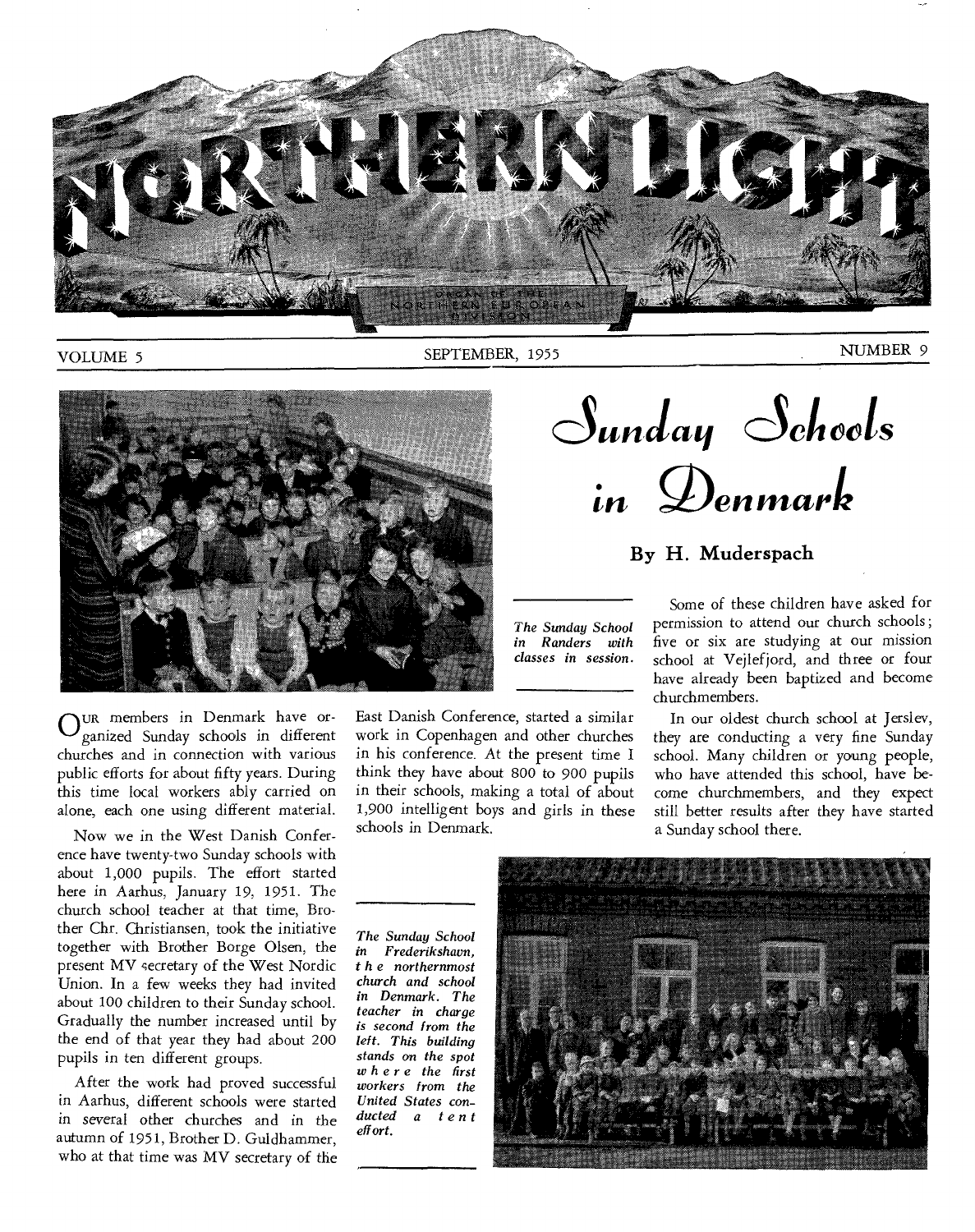

VOLUME 5 SEPTEMBER, 1955 NUMBER 9



*The Sunday School in Randers with classes in session.* 

Our members in Denmark have or-<br>
<u>C</u>ganized Sunday schools in different ganized Sunday schools in different churches and in connection with various public efforts for about fifty years. During this time local workers ably carried on alone, each one using different material.

Now we in the West Danish Conference have twenty-two Sunday schools with about 1,000 pupils. The effort started here in Aarhus, January 19, 1951. The church school teacher at that time, Brother Chr. Christiansen, took the initiative together with Brother Borge Olsen, the present MV secretary of the West Nordic Union. In a few weeks they had invited about 100 children to their Sunday school. Gradually the number increased until by the end of that year they had about 200 pupils in ten different groups.

After the work had proved successful in Aarhus, different schools were started *in several* other churches and in the autumn of 1951, Brother D. Guldhammer, who at that time was MV secretary of the East Danish Conference, started a similar work in Copenhagen and other churches in his conference. At the present time I think they have about 800 to 900 pupils in their schools, making a total of about 1,900 intelligent boys and girls in these schools in Denmark.

churchmembers. In our oldest church school at Jerslev, they are conducting a very fine Sunday school. Many children or young people, who have attended this school, have become churchmembers, and they expect still better results after they have started a Sunday school there.

 $S$ unday Schools

**in Oen mark** 

**By H. Muderspach** 

Some of these children have asked for permission to attend our church schools ; five or six are studying at our mission school at Vejlefjord, and three or four have already been baptized and become

*The Sunday School in Frederikshavn, t h e northernmost church and school in Denmark. The teacher in charge is second from the left. This building stands on the spot where the first workers from the United States conducted a tent effort.* 

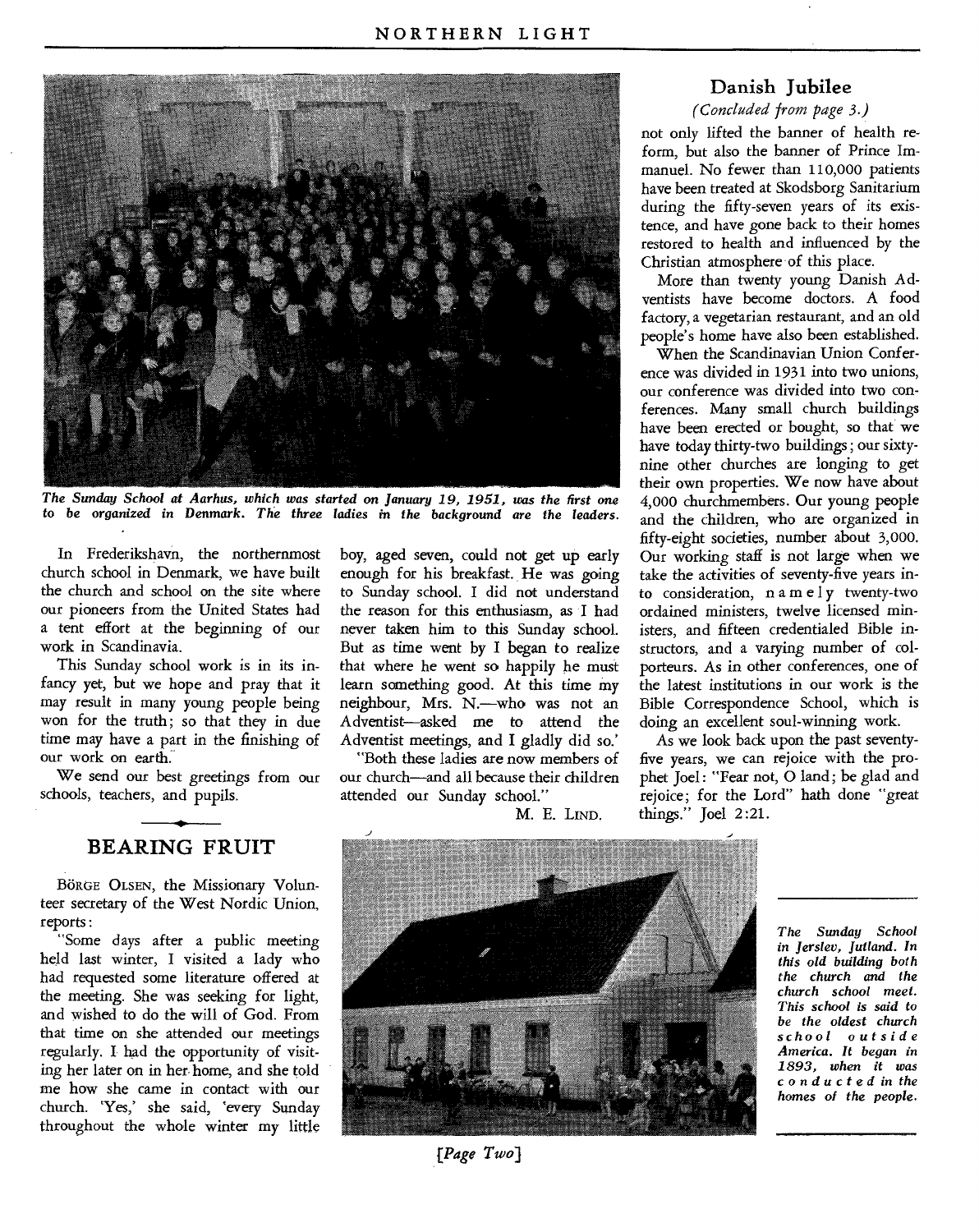

*The Sunday School at Aarhus, which was started on January 19, 1951, was the first one to be* organized in *Denmark. The three ladies in the background are the leaders.* 

In Frederikshavn, the northernmost church school in Denmark, we have built the church and school on the site where our pioneers from the United States had a tent effort at the beginning of our work in Scandinavia.

This Sunday school work is in its infancy yet, but we hope and pray that it may result in many young people being won for the truth; so that they in due time may have a part in the finishing of our work on earth:

We send our best greetings from our schools, teachers, and pupils.

### **BEARING FRUIT**

BörGE OLSEN, the Missionary Volunteer secretary of the West Nordic Union, reports :

"Some days after a public meeting held last winter, I visited a lady who had requested some literature offered at the meeting. She was seeking for light, and wished to do the will of God. From that time on she attended our meetings regularly. I had the opportunity of visiting her later on in her. home, and she told me how she came in contact with our church. 'Yes,' she said, 'every Sunday throughout the whole winter my little

boy, aged seven, could not get up early enough for his breakfast. He was going to Sunday school. I did not understand the reason for this enthusiasm, as I had never taken him to this Sunday school. But as time went by I began to realize that where he went so happily he must learn something good. At this time my neighbour, Mrs. N.—who was not an Adventist—asked me to attend the Adventist meetings, and I gladly did so.'

"Both these ladies are now members of our church—and all because their children attended our Sunday school."

M. E. LIND.

### **Danish Jubilee**

*(Concluded from page 3.)* 

not only lifted the banner of health reform, but also the banner of Prince Immanuel. No fewer than 110,000 patients have been treated at Skodsborg Sanitarium during the fifty-seven years of its existence, and have gone back to their homes restored to health and influenced by the Christian atmosphere of this place.

More than twenty young Danish Adventists have become doctors. A food factory, a vegetarian restaurant, and an old people's home have also been established.

When the Scandinavian Union Conference was divided in 1931 into two unions, our conference was divided into two conferences. Many small church buildings have been erected or bought, so that we have today thirty-two buildings ; our sixtynine other churches are longing to get their own properties. We now have about 4,000 churchmembers. Our young people and the children, who are organized in fifty-eight societies, number about 3,000. Our working staff is not large when we take the activities of seventy-five years into consideration, namely twenty-two ordained ministers, twelve licensed ministers, and fifteen credentialed Bible instructors, and a varying number of colporteurs. As in other conferences, one of the latest institutions in our work is the Bible Correspondence School, which is doing an excellent soul-winning work.

As we look back upon the past seventyfive years, we can rejoice with the prophet Joel: "Fear not, 0 land; be glad and rejoice; for the Lord" hath done "great things." Joel 2:21.



*The Sunday School in Jerslev, Jutland. In this old building both the church and the church school meet. This school is said to be the oldest church school outside America. It began in 1893, when it was conducted in the homes of the people.* 

*[Page Two]*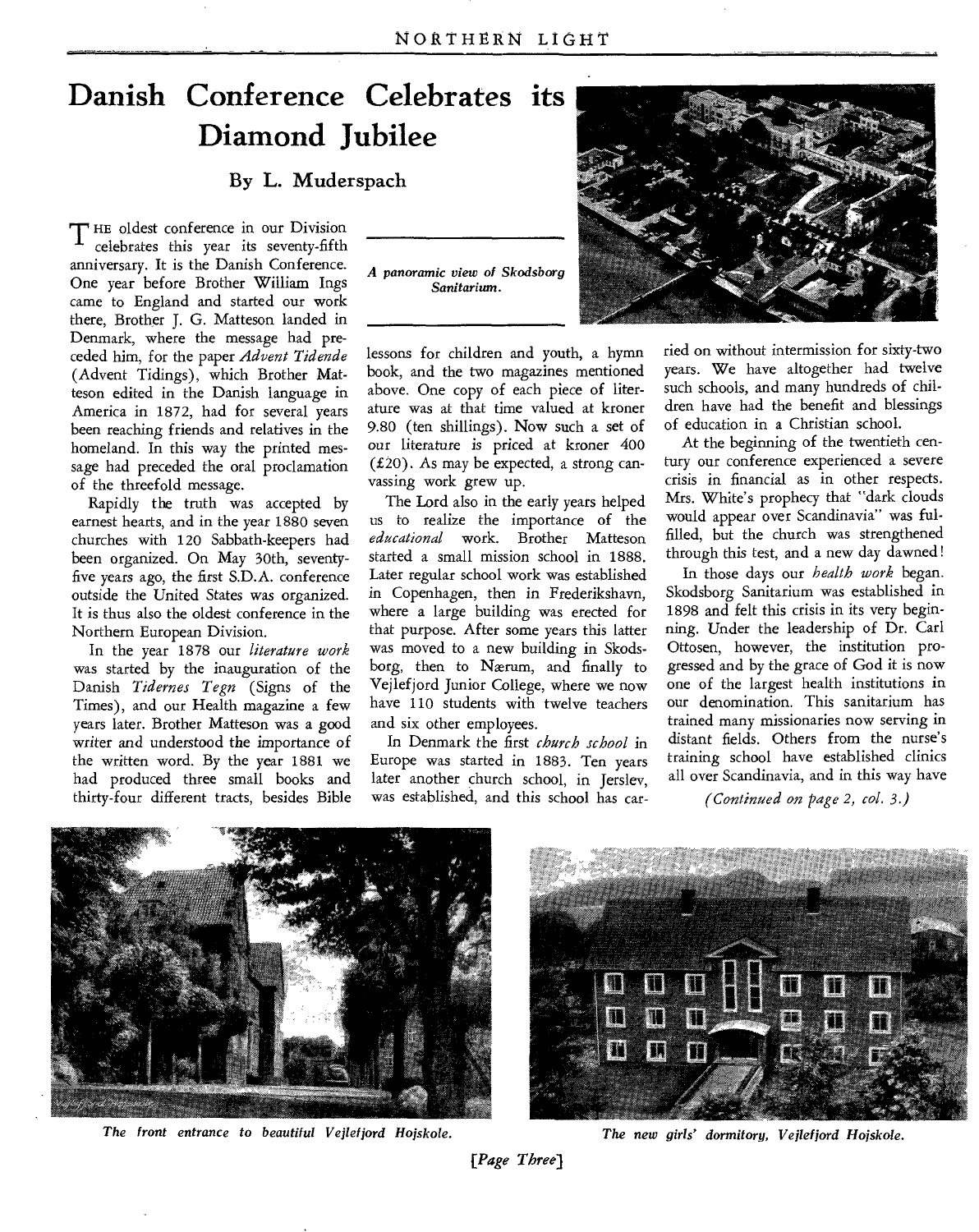# **Danish Conference Celebrates its Diamond Jubilee**

### By L. Muderspach

**T** HE oldest conference in our Division celebrates this year its seventy-fifth anniversary. It is the Danish Conference. One year before Brother William Ings came to England and started our work there, Brother J. G. Matteson landed in Denmark, where the message had preceded him, for the paper *Advent Tidende*  (Advent Tidings), which Brother Matteson edited in the Danish language in America in 1872, had for several years been reaching friends and relatives in the homeland. In this way the printed message had preceded the oral proclamation of the threefold message.

Rapidly the truth was accepted by earnest hearts, and in the year 1880 seven churches with 120 Sabbath-keepers had been organized. On May 30th, seventyfive years ago, the first S.D.A. conference outside the United States was organized. It is thus also the oldest conference in the Northern European Division.

In the year 1878 our *literature work*  was started by the inauguration of the Danish *Tidernes Tegn* (Signs of the Times), and our Health magazine a few years later. Brother Matteson was a good *writer* and understood the importance of the written word. By the year 1881 we had produced three small books and thirty-four different tracts, besides Bible *A panoramic view of Skodsborg Sanitarium.* 



lessons for children and youth, a hymn book, and the two magazines mentioned above. One copy of each piece of literature was at that time valued at kroner 9.80 (ten shillings). Now such a set of our literature is priced at kroner 400 (£20). As may be expected, a strong canvassing work grew up.

The Lord also in the early years helped us to realize the importance of the *educational* work. Brother Matteson started a small mission school in 1888. Later regular school work was established in Copenhagen, then in Frederikshavn, where a large building was erected for that purpose. After some years this latter was moved to a new building in Skodsborg, then to Nærum, and finally to Vejlefjord Junior College, where we now have 110 students with twelve teachers and six other employees.

In Denmark the first *church school* in Europe was started in 1883. Ten years later another church school, in Jerslev, was established, and this school has carried on without intermission for sixty-two years. We have altogether had twelve such schools, and many hundreds of children have had the benefit and blessings of education in a Christian school.

At the beginning of the twentieth century our conference experienced a severe crisis in financial as in other respects. Mrs. White's prophecy that "dark clouds would appear over Scandinavia" was fulfilled, but the church was strengthened through this test, and a new day dawned!

In those days our *health work* began. Skodsborg Sanitarium was established in 1898 and felt this crisis in its very beginning. Under the leadership of Dr. Carl Ottosen, however, the institution progressed and by the grace of God it is now one of the largest health institutions in our denomination. This sanitarium has trained many missionaries now serving in distant fields. Others from the nurse's training school have established clinics all over Scandinavia, and in this way have

*(Continued on page 2, col. 3.)* 



*The front entrance to beautiful Vejlefjord Hojskole. The new girls' dormitory, Vejlefjord Hojskole.* 

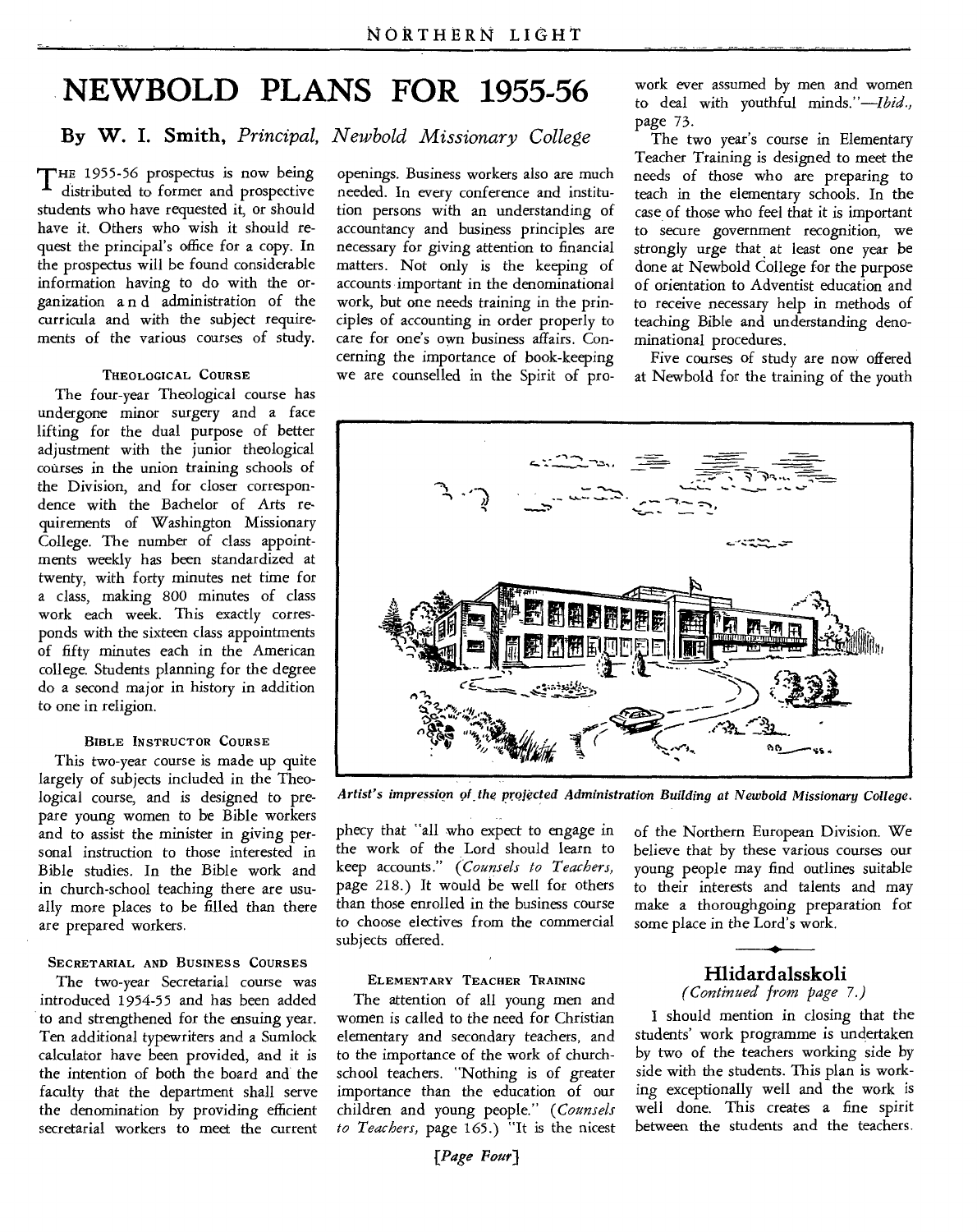# **NEWBOLD PLANS FOR 1955-56**

# **By W. I. Smith,** *Principal, Newbold Missionary College*

THE 1955-56 prospectus is now being distributed to former and prospective students who have requested it, or should have it. Others who wish it should request the principal's office for a copy. In the prospectus will be found considerable information having to do with the organization a n d administration of the curricula and with the subject requirements of the various courses of study.

### **THEOLOGICAL COURSE**

The four-year Theological course has undergone minor surgery and a face lifting for the dual purpose of better adjustment with the junior theological courses in the union training schools of the Division, and for closer correspondence with the Bachelor of Arts requirements of Washington Missionary College. The number of class appointments weekly has been standardized at twenty, with forty minutes net time for a class, making 800 minutes of class work each week. This exactly corresponds with the sixteen class appointments of fifty minutes each in the American college. Students planning for the degree do a second major in history in addition to one in religion.

### **BIBLE INSTRUCTOR COURSE**

This two-year course is made up quite largely of subjects included in the Theological course, and is designed to prepare young women to be Bible workers and to assist the minister in giving personal instruction to those interested in Bible studies. In the Bible work and in church-school teaching there are usually more places to be filled than there are prepared workers.

#### **SECRETARIAL AND BUSINESS COURSES**

The two-year Secretarial course was introduced 1954-55 and has been added to and strengthened for the ensuing year. Ten additional typewriters and a Sumlock calculator have been provided, and it is the intention of both the board and the faculty that the department shall serve the denomination by providing efficient secretarial workers to meet the current openings. Business workers also are much needed. In every conference and institution persons with an understanding of accountancy and business principles are necessary for giving attention to financial matters. Not only is the keeping of accounts important in the denominational work, but one needs training in the principles of accounting in order properly to care for one's own business affairs. Concerning the importance of book-keeping we are counselled in the Spirit of pro-

work ever assumed by men and women to deal with youthful minds."—Ibid., page 73.

The two year's course in Elementary Teacher Training is designed to meet the needs of those who are preparing to teach in the elementary schools. In the case of those who feel that it is important to secure government recognition, we strongly urge that at least one year be done at Newbold College for the purpose of orientation to Adventist education and to receive necessary help in methods of teaching Bible and understanding denominational procedures.

Five courses of study are now offered at Newbold for the training of the youth



*Artist's impression of .the projected Administration Building at Newbold Missionary College.* 

phecy that "all who expect to engage in the work of the Lord should learn to keep accounts." *(Counsels to Teachers,*  page 218.) It would be well for others than those enrolled in the business course to choose electives from the commercial subjects offered.

of the Northern European Division. We believe that by these various courses our young people may find outlines suitable to their interests and talents and may make a thoroughgoing preparation for some place in the Lord's work.

#### **ELEMENTARY TEACHER TRAINING**

The attention of all young men and women is called to the need for Christian elementary and secondary teachers, and to the importance of the work of churchschool teachers. "Nothing is of greater importance than the education of our children and young people." *(Counsels to Teachers,* page 165.) "It is the nicest

### **Hlidard alsskoli**  *(Continued from page 7.)*

*<sup>I</sup>*should mention in closing that the students' work programme is undertaken by two of the teachers working side by side with the students. This plan is working exceptionally well and the work is well done. This creates a fine spirit between the students and the teachers.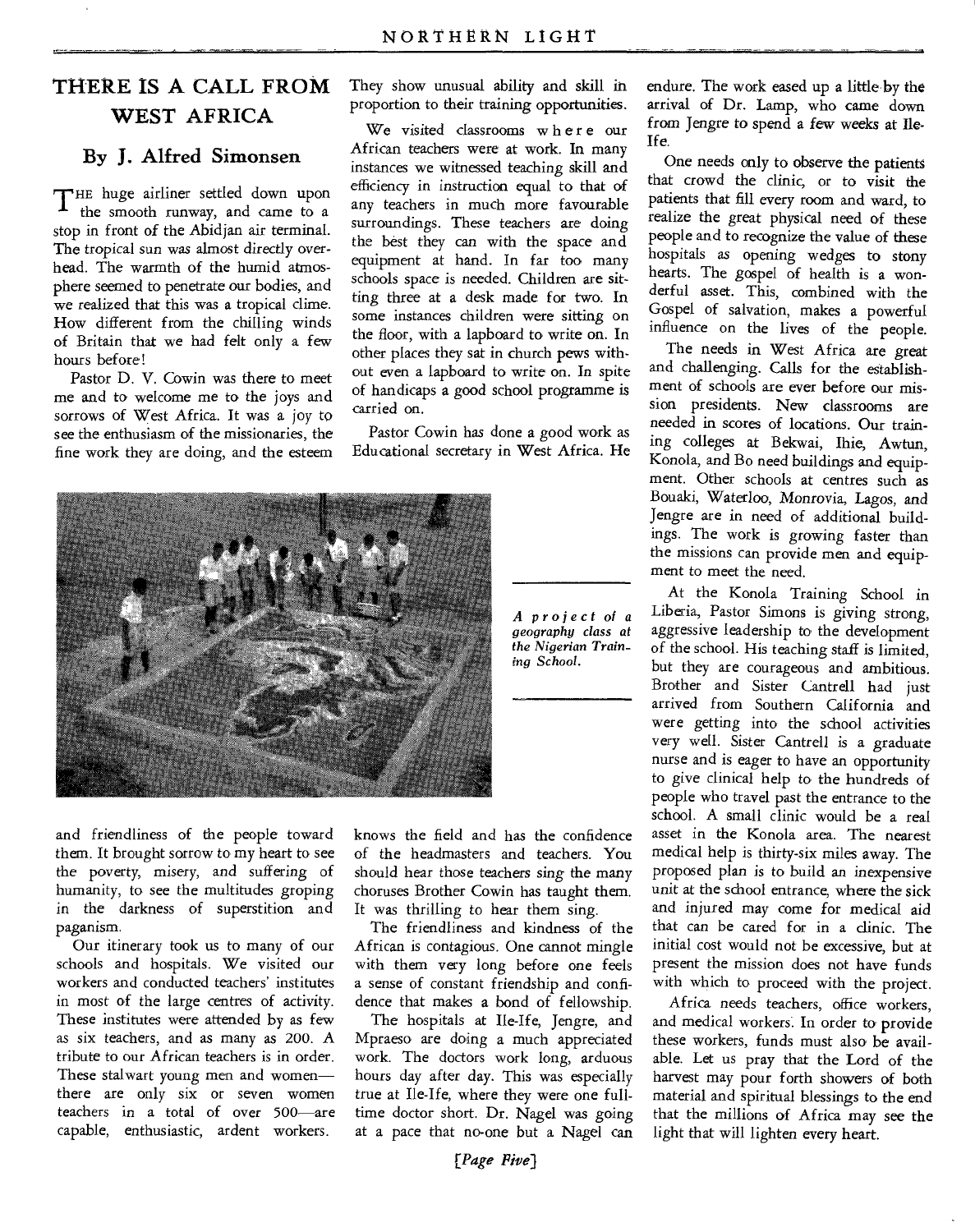# THERE IS A CALL FROM WEST AFRICA

## By J. Alfred Simonsen

THE huge airliner settled down upon the smooth runway, and came to a stop in front of the Abidjan air terminal. The tropical sun was almost directly overhead. The warmth of the humid atmosphere seemed to penetrate our bodies, and we realized that this was a tropical clime. How different from the chilling winds of Britain that we had felt only a few hours before!

Pastor D. V. Cowin was there to meet me and to welcome me to the joys and sorrows of West Africa. It was a joy to see the enthusiasm of the missionaries, the fine work they are doing, and the esteem They show unusual ability and skill in proportion to their training opportunities.

We visited classrooms where our African teachers were at work. In many instances we witnessed teaching skill and efficiency in instruction equal to that of any teachers in much more favourable surroundings. These teachers are doing the best they can with the space and equipment at hand. In far too many schools space is needed. Children are sitting three at a desk made for two. In some instances children were sitting on the floor, with a lapboard to write on. In other places they sat in church pews without even a lapboard to write on. In spite of handicaps a good school programme is carried on.

Pastor Cowin has done a good work as Educational secretary in West Africa. He



*A project of a geography class at the Nigerian Training School.* 

and friendliness of the people toward them. It brought sorrow to my heart to see the poverty, misery, and suffering of humanity, to see the multitudes groping in the darkness of superstition and paganism.

Our itinerary took us to many of our schools and hospitals. We visited our workers and conducted teachers' institutes in most of the large centres of activity. These institutes were attended by as few as six teachers, and as many as 200. A tribute to our African teachers is in order. These stalwart young men and women there are only six or seven women teachers in a total of over 500—are capable, enthusiastic, ardent workers.

knows the field and has the confidence of the headmasters and teachers. You should hear those teachers sing the many choruses Brother Cowin has taught them. It was thrilling to hear them sing.

The friendliness and kindness of the African is contagious. One cannot mingle with them very long before one feels a sense of constant friendship and confidence that makes a bond of fellowship.

The hospitals at Ile-Ife, Jengre, and Mpraeso are doing a much appreciated work. The doctors work long, arduous hours day after day. This was especially true at Ile-Ife, where they were one fulltime doctor short. Dr. Nagel was going at a pace that no-one but a Nagel can

endure. The work eased up a little by the arrival of Dr. Lamp, who came down from Jengre to spend a few weeks at Ile-Ife.

One needs only to observe the patients that crowd the clinic, or to visit the patients that fill every room and ward, to realize the great physical need of these people and to recognize the value of these hospitals as opening wedges to stony hearts. The gospel of health is a wonderful asset. This, combined with the Gospel of salvation, makes a powerful influence on the lives of the people.

The needs in West Africa are great and challenging. Calls for the establishment of schools are ever before our mission presidents. New classrooms are needed in scores of locations. Our training colleges at Bekwai, Ihie, Awtun, Konola, and Bo need buildings and equipment. Other schools at centres such as Bouaki, Waterloo, Monrovia, Lagos, and Jengre are in need of additional buildings. The work is growing faster than the missions can provide men and equipment to meet the need.

At the Konola Training School in Liberia, Pastor Simons is giving strong, aggressive leadership to the development of the school. His teaching staff is limited, but they are courageous and ambitious. Brother and Sister Cantrell had just arrived from Southern California and were getting into the school activities very well. Sister Cantrell is a graduate nurse and is eager to have an opportunity to give clinical help to the hundreds of people who travel past the entrance to the school. A small clinic would be a real asset in the Konola area. The nearest medical help is thirty-six miles away. The proposed plan is to build an inexpensive unit at the school entrance, where the sick and injured may come for medical aid that can be cared for in a clinic. The initial cost would not be excessive, but at present the mission does not have funds with which to proceed with the project.

Africa needs teachers, office workers, and medical workers. In order to provide these workers, funds must also be available. Let us pray that the Lord of the harvest may pour forth showers of both material and spiritual blessings to the end that the millions of Africa may see the light that will lighten every heart.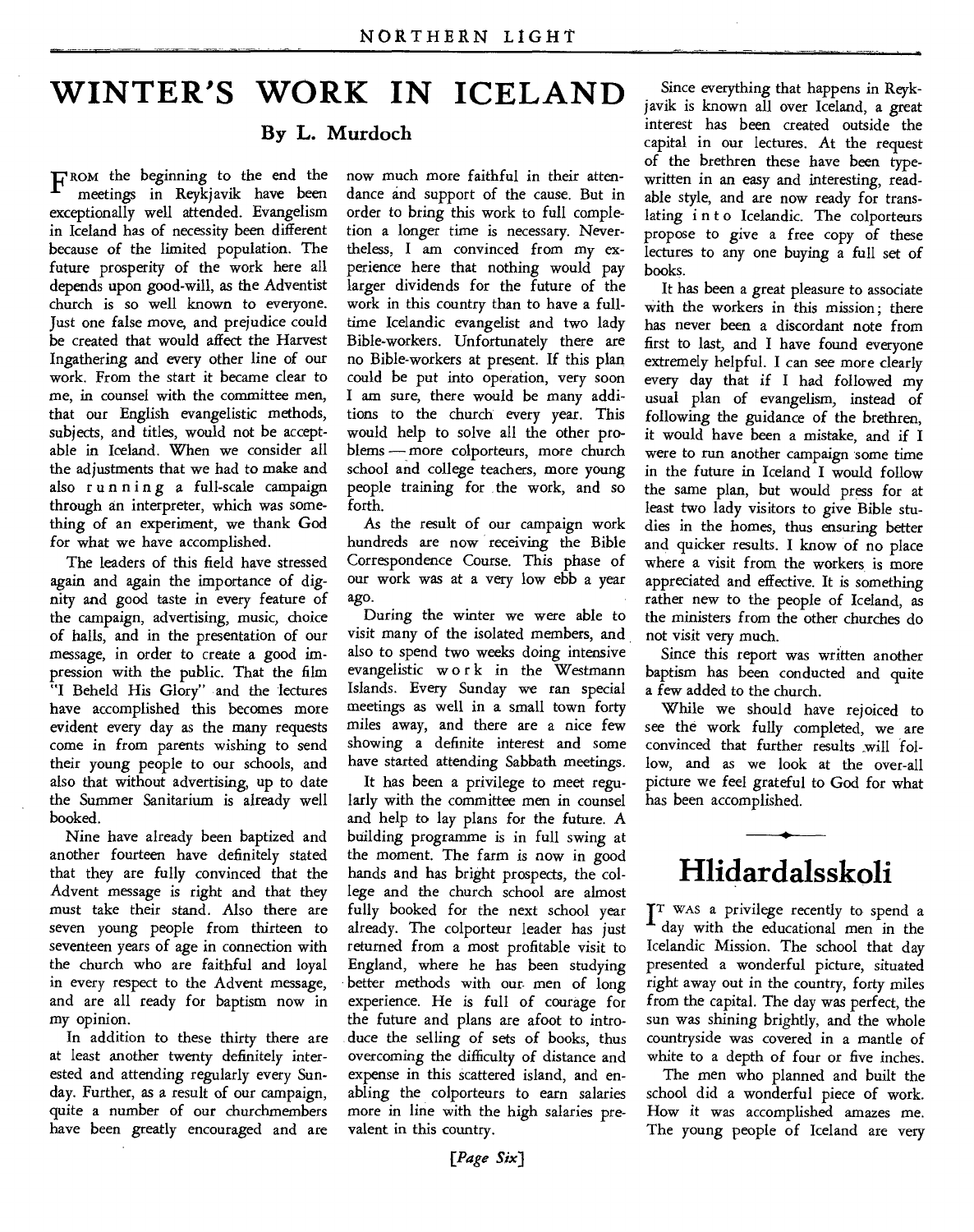# **WINTER'S WORK IN ICELAND**

### **By L. Murdoch**

FROM the beginning to the end the meetings in Reykjavik have been exceptionally well attended. Evangelism in Iceland has of necessity been different because of the limited population. The future prosperity of the work here all depends upon good-will, as the Adventist church is so well known to everyone. Just one false move, and prejudice could be created that would affect the Harvest Ingathering and every other line of our work. From the start it became clear to me, in counsel with the committee men, that our English evangelistic methods, subjects, and titles, would not be acceptable in Iceland. When we consider all the adjustments that we had to make and also running a full-scale campaign through an interpreter, which was something of an experiment, we thank God for what we have accomplished.

The leaders of this field have stressed again and again the importance of dignity and good taste in every feature of the campaign, advertising, music, choice of halls, and in the presentation of our message, in order to create a good impression with the public. That the film "I Beheld His Glory" and the lectures have accomplished this becomes more evident every day as the many requests come in from parents wishing to send their young people to our schools, and also that without advertising, up to date the Summer Sanitarium is already well booked.

Nine have already been baptized and another fourteen have definitely stated that they are fully convinced that the Advent message is right and that they must take their stand. Also there are seven young people from thirteen to seventeen years of age in connection with the church who are faithful and loyal in every respect to the Advent message, and are all ready for baptism now in my opinion.

In addition to these thirty there are at least another twenty definitely interested and attending regularly every Sunday. Further, as a result of our campaign, quite a number of our churchmembers have been greatly encouraged and are

now much more faithful in their attendance and support of the cause. But in order to bring this work to full completion a longer time is necessary. Nevertheless, I am convinced from my experience here that nothing would pay larger dividends for the future of the work in this country than to have a fulltime Icelandic evangelist and two lady Bible-workers. Unfortunately there are no Bible-workers at present. If this plan could be put into operation, very soon I am sure, there would be many additions to the church every year. This would help to solve all the other problems — more colporteurs, more church school and college teachers, more young people training for the work, and so forth.

As the result of our campaign work hundreds are now receiving the Bible Correspondence Course. This phase of our work was at a very low ebb a year ago.

During the winter we were able to visit many of the isolated members, and also to spend two weeks doing intensive evangelistic w o r k in the Westmann Islands. Every Sunday we ran special meetings as well in a small town forty miles away, and there are a nice few showing a definite interest and some have started attending Sabbath meetings.

It has been a privilege to meet regularly with the committee men in counsel and help to lay plans for the future. A building programme is in full swing at the moment. The farm is now in good hands and has bright prospects, the college and the church school are almost fully booked for the next school year already. The colporteur leader has just returned from a most profitable visit to England, where he has been studying better methods with our men of long experience. He is full of courage for the future and plans are afoot to introduce the selling of sets of books, thus overcoming the difficulty of distance and expense in this scattered island, and enabling the colporteurs to earn salaries more in line with the high salaries prevalent in this country.

Since everything that happens in Reykjavik is known all over Iceland, a great interest has been created outside the capital in our lectures. At the request of the brethren these have been typewritten in an easy and interesting, readable style, and are now ready for translating into Icelandic. The colporteurs propose to give a free copy of these lectures to any one buying a full set of books.

It has been a great pleasure to associate with the workers in this mission; there has never been a discordant note from first to last, and I have found everyone extremely helpful. I can see more clearly every day that if I had followed my usual plan of evangelism, instead of following the guidance of the brethren, it would have been a mistake, and if I were to run another campaign some time in the future in Iceland I would follow the same plan, but would press for at least two lady visitors to give Bible studies in the homes, thus ensuring better and quicker results. I know of no place where a visit from the workers is more appreciated and effective. It is something rather new to the people of Iceland, as the ministers from the other churches do not visit very much.

Since this report was written another baptism has been conducted and quite a few added to the church.

While we should have rejoiced to see the work fully completed, we are convinced that further results will follow, and as we look at the over-all picture we feel grateful to God for what has been accomplished.

# **Hlidardalsskoli**

 $\int_{-1}^{T}$  WAS a privilege recently to spend a day with the educational men in the day with the educational men in the Icelandic Mission. The school that day presented a wonderful picture, situated right away out in the country, forty miles from the capital. The day was perfect, the sun was shining brightly, and the whole countryside was covered in a mantle of white to a depth of four or five inches.

The men who planned and built the school did a wonderful piece of work. How it was accomplished amazes me. The young people of Iceland are very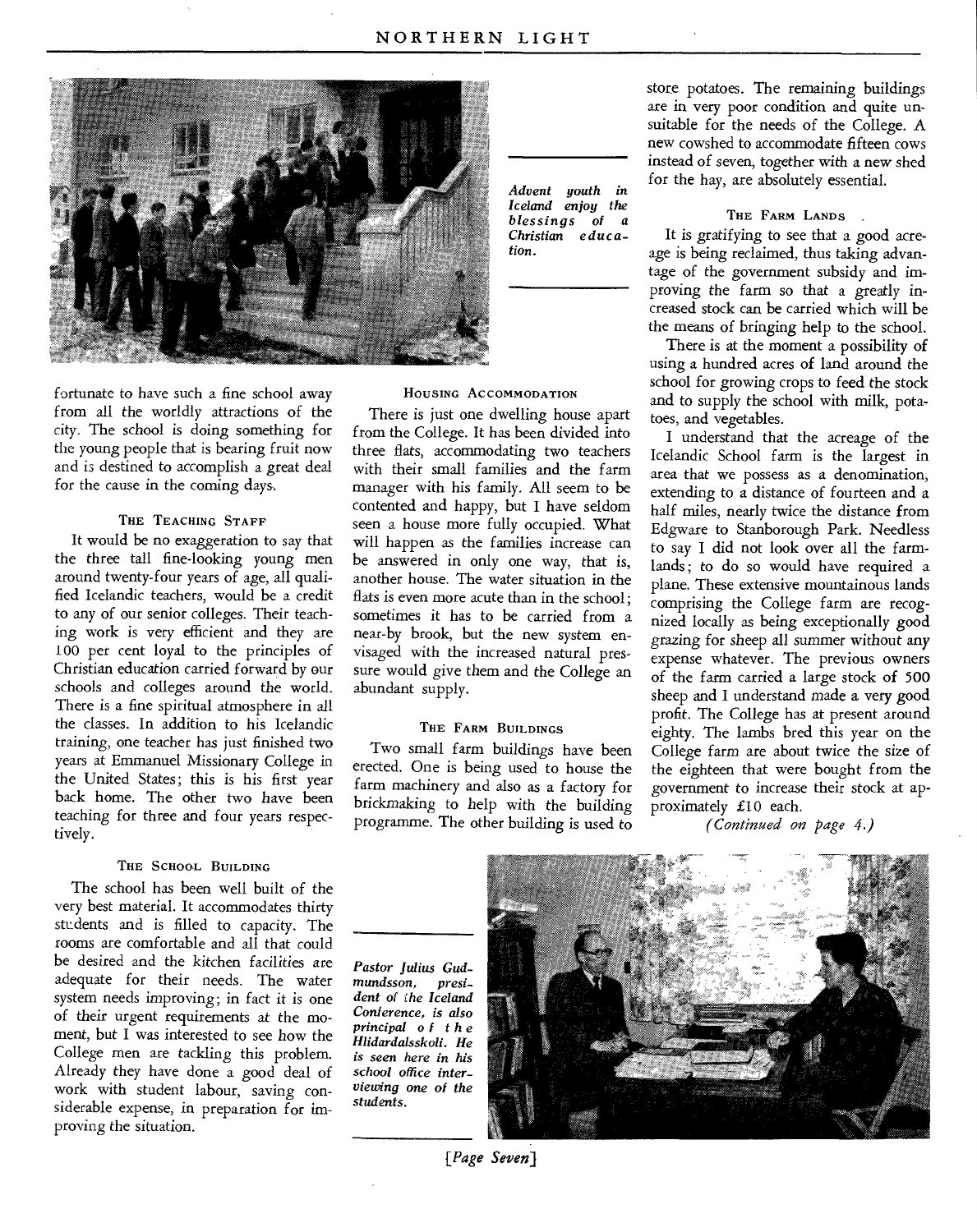

fortunate to have such a fine school away from all the worldly attractions of the city. The school is doing something for the young people that is bearing fruit now and is destined to accomplish a great deal for the cause in the coming days.

### THE TEACHING STAFF

It would be no exaggeration to say that the three tall fine-looking young men around twenty-four years of age, all qualified Icelandic teachers, would be a credit to any of our senior colleges. Their teaching work is very efficient and they are 100 per cent loyal to the principles of Christian education carried forward by our schools and colleges around the world. There is a fine spiritual atmosphere in all the classes. In addition to his Icelandic training, one teacher has just finished two years at Emmanuel Missionary College in the United States; this is his first year back home. The other two have been teaching for three and four years respectively.

### THE SCHOOL BUILDING

The school has been well built of the very best material. It accommodates thirty students and is filled to capacity. The rooms are comfortable and all that could be desired and the kitchen *facilities* are adequate for their needs. The water system needs improving; in fact it is one of their urgent requirements at the moment, but I was interested to see how the College men are tackling this problem. Already they have done a good deal of work with student labour, saving considerable expense, in preparation for improving the situation.

*Advent youth in Iceland enjoy the blessings of a Christian education.* 

#### HOUSING ACCOMMODATION

There is just one dwelling house apart from the College. It has been divided into three flats, accommodating two teachers with their small families and the farm manager with his family. All seem to be contented and happy, but I have seldom seen a house more fully occupied. What will happen as the families increase can be answered in only one way, that is, another house. The water situation in the flats is even more acute than in the school; sometimes it has to be carried from a near-by brook, but the new system envisaged with the increased natural pressure would give them and the College an abundant supply.

### THE FARM BUILDINGS

Two small farm buildings have been erected. One is being used to house the farm machinery and also as a factory for brickmaking to help with the building programme. The other building is used to

store potatoes. The remaining buildings are in very poor condition and quite unsuitable for the needs of the College. A new cowshed to accommodate fifteen cows instead of seven, together with a new shed for the hay, are absolutely essential.

### THE FARM LANDS

It is gratifying to see that a good acreage is being reclaimed, thus taking advantage of the government subsidy and improving the farm so that a greatly increased stock can be carried which will be the means of bringing help to the school.

There is at the moment a possibility of using a hundred acres of land around the school for growing crops to feed the stock and to supply the school with milk, potatoes, and vegetables.

I understand that the acreage of the Icelandic School farm is the largest in area that we possess as a denomination, extending to a distance of fourteen and a half miles, nearly twice the distance from Edgware to Stanborough Park. Needless to say I did not look over all the farmlands; to do so would have required a plane. These extensive mountainous lands comprising the College farm are recognized locally as being exceptionally good *grazing* for sheep all *summer* without any expense whatever. The previous owners of the farm carried a large stock of 500 sheep and I understand made a very good profit. The College has at present around eighty. The lambs bred this year on the College farm are about twice the size of the eighteen that were bought from the government to increase their stock at approximately £10 each.

*(Continued on page 4.)* 

*Pastor Julius Gudmundsson, president of the Iceland Conference, is also principal of the Hlidardalsskoli. He is seen here in his school office interviewing one of the students.* 



*{Page Seven)*